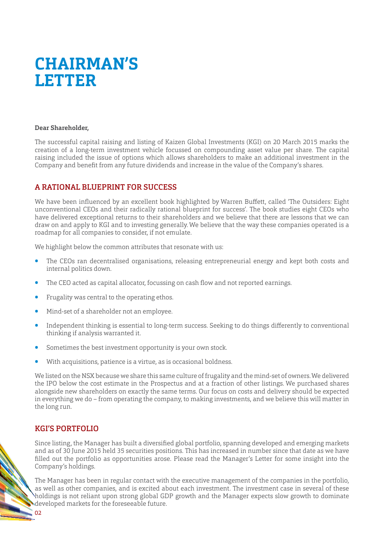# **CHAIRMAN'S LETTER**

#### **Dear Shareholder,**

The successful capital raising and listing of Kaizen Global Investments (KGI) on 20 March 2015 marks the creation of a long-term investment vehicle focussed on compounding asset value per share. The capital raising included the issue of options which allows shareholders to make an additional investment in the Company and benefit from any future dividends and increase in the value of the Company's shares.

## A RATIONAL BLUEPRINT FOR SUCCESS

We have been influenced by an excellent book highlighted by Warren Buffett, called 'The Outsiders: Eight unconventional CEOs and their radically rational blueprint for success'. The book studies eight CEOs who have delivered exceptional returns to their shareholders and we believe that there are lessons that we can draw on and apply to KGI and to investing generally. We believe that the way these companies operated is a roadmap for all companies to consider, if not emulate.

We highlight below the common attributes that resonate with us:

- The CEOs ran decentralised organisations, releasing entrepreneurial energy and kept both costs and internal politics down.
- The CEO acted as capital allocator, focussing on cash flow and not reported earnings.
- **Ū** Frugality was central to the operating ethos.
- **Ū** Mind-set of a shareholder not an employee.
- **Ū** Independent thinking is essential to long-term success. Seeking to do things diferently to conventional thinking if analysis warranted it.
- Sometimes the best investment opportunity is your own stock.
- With acquisitions, patience is a virtue, as is occasional boldness.

We listed on the NSX because we share this same culture of frugality and the mind-set of owners. We delivered the IPO below the cost estimate in the Prospectus and at a fraction of other listings. We purchased shares alongside new shareholders on exactly the same terms. Our focus on costs and delivery should be expected in everything we do – from operating the company, to making investments, and we believe this will matter in the long run.

## KGI'S PORTFOLIO

Since listing, the Manager has built a diversified global portfolio, spanning developed and emerging markets and as of 30 June 2015 held 35 securities positions. Tis has increased in number since that date as we have filled out the portfolio as opportunities arose. Please read the Manager's Letter for some insight into the Company's holdings.

The Manager has been in regular contact with the executive management of the companies in the portfolio, as well as other companies, and is excited about each investment. The investment case in several of these holdings is not reliant upon strong global GDP growth and the Manager expects slow growth to dominate developed markets for the foreseeable future.